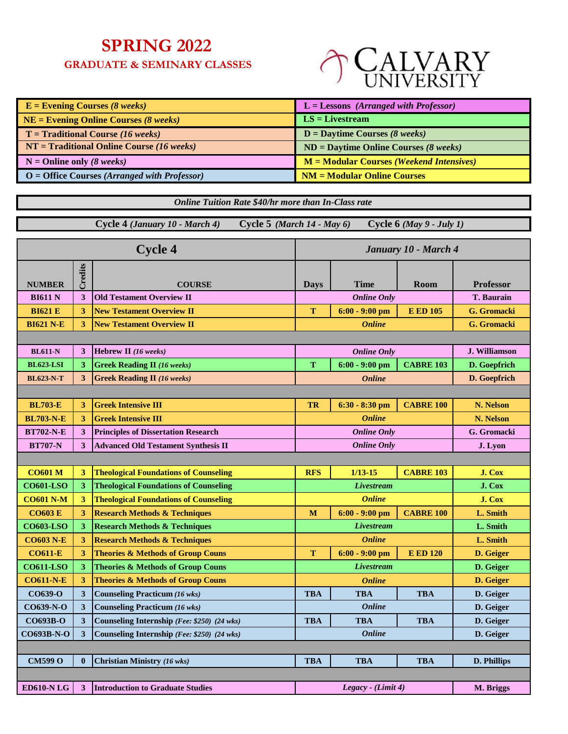## **SPRING 2022**

 **GRADUATE & SEMINARY CLASSES**



| $E =$ Evening Courses (8 weeks)                | $L =$ Lessons (Arranged with Professor)   |
|------------------------------------------------|-------------------------------------------|
| $NE =$ Evening Online Courses (8 weeks)        | $LS = Livestream$                         |
| $T =$ Traditional Course (16 weeks)            | $D =$ Daytime Courses (8 weeks)           |
| $NT = Traditional Online Course (16 weeks)$    | $ND =$ Daytime Online Courses (8 weeks)   |
| $N =$ Online only (8 weeks)                    | $M = Modular Courses (Weekend Intensive)$ |
| $O =$ Office Courses (Arranged with Professor) | $NM = Modular Online Courses$             |

*Online Tuition Rate \$40/hr more than In-Class rate*

 **Cycle 4** *(January 10 - March 4)* **Cycle 5** *(March 14 - May 6)* **Cycle 6** *(May 9 - July 1)*

| <b>Cycle 4</b><br>January 10 - March 4 |              |                                              |             |                      |                  |                      |
|----------------------------------------|--------------|----------------------------------------------|-------------|----------------------|------------------|----------------------|
|                                        | Credits      |                                              |             |                      |                  |                      |
| <b>NUMBER</b>                          |              | <b>COURSE</b>                                | <b>Days</b> | Time                 | Room             | <b>Professor</b>     |
| <b>BI611 N</b>                         | 3            | <b>Old Testament Overview II</b>             |             | <b>Online Only</b>   |                  | <b>T. Baurain</b>    |
| <b>BI621 E</b>                         | 3            | <b>New Testament Overview II</b>             | T           | $6:00 - 9:00$ pm     | <b>E ED 105</b>  | <b>G.</b> Gromacki   |
| <b>BI621 N-E</b>                       | 3            | <b>New Testament Overview II</b>             |             | <b>Online</b>        |                  | G. Gromacki          |
|                                        |              |                                              |             |                      |                  |                      |
| <b>BL611-N</b>                         | 3            | Hebrew II (16 weeks)                         |             | <b>Online Only</b>   |                  | <b>J. Williamson</b> |
| <b>BL623-LSI</b>                       | 3            | <b>Greek Reading II</b> (16 weeks)           | T           | $6:00 - 9:00$ pm     | <b>CABRE 103</b> | D. Goepfrich         |
| <b>BL623-N-T</b>                       | 3            | <b>Greek Reading II</b> (16 weeks)           |             | <b>Online</b>        |                  | D. Goepfrich         |
|                                        |              |                                              |             |                      |                  |                      |
| <b>BL703-E</b>                         | 3            | <b>Greek Intensive III</b>                   | TR          | $6:30 - 8:30$ pm     | <b>CABRE 100</b> | N. Nelson            |
| <b>BL703-N-E</b>                       | 3            | <b>Greek Intensive III</b>                   |             | <b>Online</b>        |                  | N. Nelson            |
| <b>BT702-N-E</b>                       | 3            | <b>Principles of Dissertation Research</b>   |             | <b>Online Only</b>   |                  | G. Gromacki          |
| <b>BT707-N</b>                         | 3            | <b>Advanced Old Testament Synthesis II</b>   |             | <b>Online Only</b>   |                  | J. Lyon              |
|                                        |              |                                              |             |                      |                  |                      |
| <b>CO601 M</b>                         | 3            | <b>Theological Foundations of Counseling</b> | <b>RFS</b>  | $1/13 - 15$          | <b>CABRE 103</b> | J. Cox               |
| <b>CO601-LSO</b>                       | 3            | <b>Theological Foundations of Counseling</b> |             | <b>Livestream</b>    |                  | J. Cox               |
| <b>CO601 N-M</b>                       | 3            | <b>Theological Foundations of Counseling</b> |             | <b>Online</b>        |                  | J. Cox               |
| <b>CO603 E</b>                         | 3            | <b>Research Methods &amp; Techniques</b>     | M           | $6:00 - 9:00$ pm     | <b>CABRE 100</b> | L. Smith             |
| <b>CO603-LSO</b>                       | 3            | <b>Research Methods &amp; Techniques</b>     |             | <b>Livestream</b>    |                  | L. Smith             |
| <b>CO603 N-E</b>                       | 3            | <b>Research Methods &amp; Techniques</b>     |             | <b>Online</b>        |                  | L. Smith             |
| <b>CO611-E</b>                         | 3            | <b>Theories &amp; Methods of Group Couns</b> | T           | $6:00 - 9:00$ pm     | <b>E ED 120</b>  | D. Geiger            |
| <b>CO611-LSO</b>                       | 3            | <b>Theories &amp; Methods of Group Couns</b> |             | <i>Livestream</i>    |                  | D. Geiger            |
| <b>CO611-N-E</b>                       | 3            | <b>Theories &amp; Methods of Group Couns</b> |             | <b>Online</b>        |                  | D. Geiger            |
| CO639-O                                | 3            | <b>Counseling Practicum (16 wks)</b>         | <b>TBA</b>  | <b>TBA</b>           | <b>TBA</b>       | D. Geiger            |
| CO639-N-O                              | 3            | <b>Counseling Practicum (16 wks)</b>         |             | <b>Online</b>        |                  | D. Geiger            |
| CO693B-O                               | 3            | Counseling Internship (Fee: \$250) (24 wks)  | <b>TBA</b>  | <b>TBA</b>           | <b>TBA</b>       | D. Geiger            |
| CO693B-N-O                             | 3            | Counseling Internship (Fee: \$250) (24 wks)  |             | <b>Online</b>        |                  | D. Geiger            |
|                                        |              |                                              |             |                      |                  |                      |
| <b>CM599 O</b>                         | $\mathbf{0}$ | <b>Christian Ministry (16 wks)</b>           | <b>TBA</b>  | <b>TBA</b>           | <b>TBA</b>       | <b>D. Phillips</b>   |
|                                        |              |                                              |             |                      |                  |                      |
| <b>ED610-N LG</b>                      | 3            | <b>Introduction to Graduate Studies</b>      |             | Legacy - $(Limit 4)$ |                  | M. Briggs            |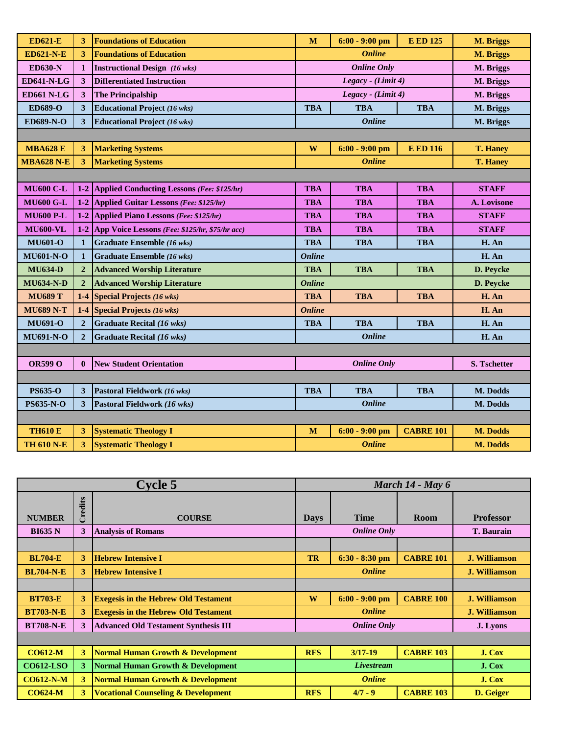| <b>ED621-E</b>    |                         | <b>Foundations of Education</b>                | M             | $6:00 - 9:00$ pm   | <b>E ED 125</b>  | M. Briggs       |  |  |
|-------------------|-------------------------|------------------------------------------------|---------------|--------------------|------------------|-----------------|--|--|
| <b>ED621-N-E</b>  | 3                       | <b>Foundations of Education</b>                | <b>Online</b> |                    |                  | M. Briggs       |  |  |
| <b>ED630-N</b>    | 1                       | <b>Instructional Design (16 wks)</b>           |               | <b>Online Only</b> | M. Briggs        |                 |  |  |
| <b>ED641-N-LG</b> | $\overline{\mathbf{3}}$ | <b>Differentiated Instruction</b>              |               | Legacy - (Limit 4) |                  | M. Briggs       |  |  |
| <b>ED661 N-LG</b> | 3                       | <b>The Principalship</b>                       |               | Legacy - (Limit 4) |                  | M. Briggs       |  |  |
| <b>ED689-O</b>    | 3                       | <b>Educational Project (16 wks)</b>            | <b>TBA</b>    | <b>TBA</b>         | <b>TBA</b>       | M. Briggs       |  |  |
| <b>ED689-N-O</b>  | 3                       | <b>Educational Project (16 wks)</b>            |               | <b>Online</b>      |                  | M. Briggs       |  |  |
|                   |                         |                                                |               |                    |                  |                 |  |  |
| <b>MBA628 E</b>   | 3                       | <b>Marketing Systems</b>                       | W             | $6:00 - 9:00$ pm   | <b>E ED 116</b>  | <b>T. Haney</b> |  |  |
| <b>MBA628 N-E</b> | 3                       | <b>Marketing Systems</b>                       |               | <b>Online</b>      |                  | <b>T. Hanev</b> |  |  |
|                   |                         |                                                |               |                    |                  |                 |  |  |
| <b>MU600 C-L</b>  |                         | 1-2 Applied Conducting Lessons (Fee: \$125/hr) | <b>TBA</b>    | <b>TBA</b>         | <b>TBA</b>       | <b>STAFF</b>    |  |  |
| <b>MU600 G-L</b>  | $1-2$                   | <b>Applied Guitar Lessons (Fee: \$125/hr)</b>  | <b>TBA</b>    | <b>TBA</b>         | <b>TBA</b>       | A. Lovisone     |  |  |
| <b>MU600 P-L</b>  | $1-2$                   | Applied Piano Lessons (Fee: \$125/hr)          | <b>TBA</b>    | <b>TBA</b>         | <b>TBA</b>       | <b>STAFF</b>    |  |  |
| <b>MU600-VL</b>   | $1-2$                   | App Voice Lessons (Fee: \$125/hr, \$75/hr acc) | <b>TBA</b>    | <b>TBA</b>         | <b>TBA</b>       | <b>STAFF</b>    |  |  |
| <b>MU601-O</b>    | $\mathbf{1}$            | <b>Graduate Ensemble (16 wks)</b>              | <b>TBA</b>    | <b>TBA</b>         | <b>TBA</b>       | H. An           |  |  |
| <b>MU601-N-O</b>  | 1                       | <b>Graduate Ensemble (16 wks)</b>              | <b>Online</b> |                    |                  | H. An           |  |  |
| <b>MU634-D</b>    | $\overline{2}$          | <b>Advanced Worship Literature</b>             | <b>TBA</b>    | <b>TBA</b>         | <b>TBA</b>       | D. Peycke       |  |  |
| <b>MU634-N-D</b>  | $\overline{2}$          | <b>Advanced Worship Literature</b>             | <b>Online</b> |                    |                  | D. Peycke       |  |  |
| <b>MU689 T</b>    | $1-4$                   | <b>Special Projects (16 wks)</b>               | <b>TBA</b>    | <b>TBA</b>         | <b>TBA</b>       | H. An           |  |  |
| <b>MU689 N-T</b>  | $1-4$                   | <b>Special Projects (16 wks)</b>               | <b>Online</b> |                    |                  | H. An           |  |  |
| <b>MU691-O</b>    | $\overline{2}$          | <b>Graduate Recital (16 wks)</b>               | <b>TBA</b>    | <b>TBA</b>         | <b>TBA</b>       | H. An           |  |  |
| <b>MU691-N-O</b>  | $\overline{2}$          | <b>Graduate Recital (16 wks)</b>               |               | <b>Online</b>      |                  | H. An           |  |  |
|                   |                         |                                                |               |                    |                  |                 |  |  |
| <b>OR599 O</b>    | $\mathbf{0}$            | <b>New Student Orientation</b>                 |               | <b>Online Only</b> |                  | S. Tschetter    |  |  |
|                   |                         |                                                |               |                    |                  |                 |  |  |
| <b>PS635-O</b>    | 3                       | Pastoral Fieldwork (16 wks)                    | <b>TBA</b>    | <b>TBA</b>         | <b>TBA</b>       | M. Dodds        |  |  |
| <b>PS635-N-O</b>  | 3                       | Pastoral Fieldwork (16 wks)                    |               | <b>Online</b>      |                  | M. Dodds        |  |  |
|                   |                         |                                                |               |                    |                  |                 |  |  |
| <b>ТН610 Е</b>    | 3                       | <b>Systematic Theology I</b>                   | M             | $6:00 - 9:00$ pm   | <b>CABRE 101</b> | M. Dodds        |  |  |
| <b>TH 610 N-E</b> | 3                       | <b>Systematic Theology I</b>                   |               | <b>Online</b>      |                  |                 |  |  |

|                  |         | <b>Cycle 5</b>                                 | March 14 - May 6  |                    |                   |                      |
|------------------|---------|------------------------------------------------|-------------------|--------------------|-------------------|----------------------|
| <b>NUMBER</b>    | Credits | <b>COURSE</b>                                  | <b>Days</b>       | <b>Time</b>        | <b>Room</b>       | <b>Professor</b>     |
| <b>BI635 N</b>   | 3       | <b>Analysis of Romans</b>                      |                   | <b>Online Only</b> | <b>T. Baurain</b> |                      |
|                  |         |                                                |                   |                    |                   |                      |
| <b>BL704-E</b>   | 3       | <b>Hebrew Intensive I</b>                      | <b>TR</b>         | $6:30 - 8:30$ pm   | <b>CABRE 101</b>  | <b>J. Williamson</b> |
| <b>BL704-N-E</b> | 3       | <b>Hebrew Intensive I</b>                      |                   | <b>Online</b>      |                   | <b>J. Williamson</b> |
|                  |         |                                                |                   |                    |                   |                      |
| <b>BT703-E</b>   | 3       | <b>Exegesis in the Hebrew Old Testament</b>    | W                 | $6:00 - 9:00$ pm   | <b>CABRE 100</b>  | <b>J. Williamson</b> |
| <b>BT703-N-E</b> | 3       | <b>Exegesis in the Hebrew Old Testament</b>    |                   | <b>Online</b>      |                   | <b>J. Williamson</b> |
| <b>BT708-N-E</b> | 3       | <b>Advanced Old Testament Synthesis III</b>    |                   | <b>Online Only</b> |                   | J. Lyons             |
|                  |         |                                                |                   |                    |                   |                      |
| <b>CO612-M</b>   | 3       | <b>Normal Human Growth &amp; Development</b>   | <b>RFS</b>        | $3/17 - 19$        | <b>CABRE 103</b>  | J. Cox               |
| <b>CO612-LSO</b> | 3       | <b>Normal Human Growth &amp; Development</b>   | <b>Livestream</b> |                    |                   | J. Cox               |
| <b>CO612-N-M</b> | 3       | <b>Normal Human Growth &amp; Development</b>   | <b>Online</b>     |                    |                   | J. Cox               |
| <b>CO624-M</b>   | 3       | <b>Vocational Counseling &amp; Development</b> | <b>RFS</b>        | $4/7 - 9$          | <b>CABRE 103</b>  | D. Geiger            |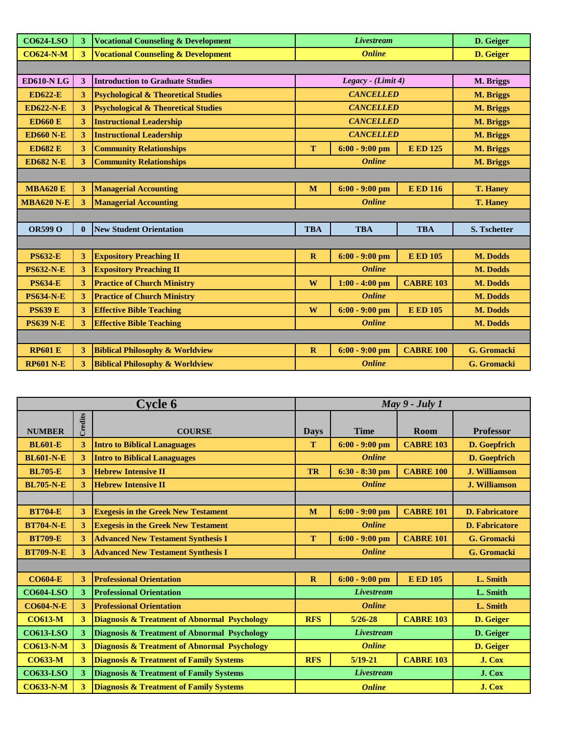| <b>CO624-LSO</b>  | 3              | <b>Vocational Counseling &amp; Development</b> | <b>Livestream</b> |                    |                  | D. Geiger           |  |
|-------------------|----------------|------------------------------------------------|-------------------|--------------------|------------------|---------------------|--|
| <b>CO624-N-M</b>  | 3 <sup>1</sup> | <b>Vocational Counseling &amp; Development</b> | <b>Online</b>     |                    |                  | D. Geiger           |  |
|                   |                |                                                |                   |                    |                  |                     |  |
| <b>ED610-N LG</b> | 3              | <b>Introduction to Graduate Studies</b>        |                   | Legacy - (Limit 4) |                  | M. Briggs           |  |
| <b>ED622-E</b>    | 3              | <b>Psychological &amp; Theoretical Studies</b> |                   | <b>CANCELLED</b>   |                  | <b>M. Briggs</b>    |  |
| <b>ED622-N-E</b>  | 3              | <b>Psychological &amp; Theoretical Studies</b> |                   | <b>CANCELLED</b>   |                  | M. Briggs           |  |
| <b>ED660 E</b>    | 3              | <b>Instructional Leadership</b>                |                   | <b>CANCELLED</b>   |                  | M. Briggs           |  |
| <b>ED660 N-E</b>  | 3              | <b>Instructional Leadership</b>                |                   | <b>CANCELLED</b>   |                  | M. Briggs           |  |
| <b>ED682 E</b>    | 3              | <b>Community Relationships</b>                 | T                 | $6:00 - 9:00$ pm   | <b>E ED 125</b>  | M. Briggs           |  |
| <b>ED682 N-E</b>  | 3              | <b>Community Relationships</b>                 |                   | <b>Online</b>      |                  | <b>M. Briggs</b>    |  |
|                   |                |                                                |                   |                    |                  |                     |  |
| <b>MBA620 E</b>   | 3              | <b>Managerial Accounting</b>                   | M                 | $6:00 - 9:00$ pm   | <b>E ED 116</b>  | <b>T. Haney</b>     |  |
| <b>MBA620 N-E</b> | 3              | <b>Managerial Accounting</b>                   |                   | <b>Online</b>      |                  | <b>T. Haney</b>     |  |
|                   |                |                                                |                   |                    |                  |                     |  |
| <b>OR599 O</b>    |                | <b>New Student Orientation</b>                 | <b>TBA</b>        | <b>TBA</b>         | <b>TBA</b>       | <b>S. Tschetter</b> |  |
|                   |                |                                                |                   |                    |                  |                     |  |
| <b>PS632-E</b>    | 3              | <b>Expository Preaching II</b>                 | $\mathbf{R}$      | $6:00 - 9:00$ pm   | <b>E ED 105</b>  | M. Dodds            |  |
| <b>PS632-N-E</b>  | 3              | <b>Expository Preaching II</b>                 |                   | <b>Online</b>      |                  | M. Dodds            |  |
| <b>PS634-E</b>    | 3              | <b>Practice of Church Ministry</b>             | W                 | $1:00 - 4:00$ pm   | <b>CABRE 103</b> | M. Dodds            |  |
| <b>PS634-N-E</b>  | 3              | <b>Practice of Church Ministry</b>             |                   | <b>Online</b>      |                  | M. Dodds            |  |
| <b>PS639 E</b>    | 3              | <b>Effective Bible Teaching</b>                | W                 | $6:00 - 9:00$ pm   | <b>E ED 105</b>  | M. Dodds            |  |
| <b>PS639 N-E</b>  | 3              | <b>Effective Bible Teaching</b>                | <b>Online</b>     |                    |                  | M. Dodds            |  |
|                   |                |                                                |                   |                    |                  |                     |  |
| <b>RP601 E</b>    | 3              | <b>Biblical Philosophy &amp; Worldview</b>     | $\mathbf{R}$      | $6:00 - 9:00$ pm   | <b>CABRE 100</b> | G. Gromacki         |  |
| <b>RP601 N-E</b>  | 3              | <b>Biblical Philosophy &amp; Worldview</b>     |                   | <b>Online</b>      |                  | G. Gromacki         |  |

|                  |         | <b>Cycle 6</b>                                          | $May 9 - July 1$ |                   |                  |                       |
|------------------|---------|---------------------------------------------------------|------------------|-------------------|------------------|-----------------------|
|                  | Credits |                                                         |                  |                   |                  |                       |
| <b>NUMBER</b>    |         | <b>COURSE</b>                                           | <b>Days</b>      | <b>Time</b>       | Room             | <b>Professor</b>      |
| <b>BL601-E</b>   | 3       | <b>Intro to Biblical Lanaguages</b>                     | T                | $6:00 - 9:00$ pm  | <b>CABRE 103</b> | D. Goepfrich          |
| <b>BL601-N-E</b> | 3       | <b>Intro to Biblical Lanaguages</b>                     |                  | <b>Online</b>     |                  | D. Goepfrich          |
| <b>BL705-E</b>   | 3       | <b>Hebrew Intensive II</b>                              | <b>TR</b>        | $6:30 - 8:30$ pm  | <b>CABRE 100</b> | <b>J. Williamson</b>  |
| <b>BL705-N-E</b> | 3       | <b>Hebrew Intensive II</b>                              |                  | <b>Online</b>     |                  | <b>J. Williamson</b>  |
|                  |         |                                                         |                  |                   |                  |                       |
| <b>BT704-E</b>   | 3       | <b>Exegesis in the Greek New Testament</b>              | M                | $6:00 - 9:00$ pm  | <b>CABRE 101</b> | <b>D. Fabricatore</b> |
| <b>BT704-N-E</b> | 3       | <b>Exegesis in the Greek New Testament</b>              |                  | <b>Online</b>     |                  | <b>D. Fabricatore</b> |
| <b>BT709-E</b>   | 3       | <b>Advanced New Testament Synthesis I</b>               | T                | $6:00 - 9:00$ pm  | <b>CABRE 101</b> | G. Gromacki           |
| <b>BT709-N-E</b> | 3       | <b>Advanced New Testament Synthesis I</b>               |                  | <b>Online</b>     |                  | G. Gromacki           |
|                  |         |                                                         |                  |                   |                  |                       |
| <b>CO604-E</b>   | 3       | <b>Professional Orientation</b>                         | $\mathbf{R}$     | $6:00 - 9:00$ pm  | <b>E ED 105</b>  | L. Smith              |
| <b>CO604-LSO</b> | 3       | <b>Professional Orientation</b>                         |                  | <b>Livestream</b> |                  | L. Smith              |
| <b>CO604-N-E</b> | 3       | <b>Professional Orientation</b>                         |                  | <b>Online</b>     |                  | L. Smith              |
| <b>CO613-M</b>   | 3       | <b>Diagnosis &amp; Treatment of Abnormal Psychology</b> | <b>RFS</b>       | $5/26 - 28$       | <b>CABRE 103</b> | D. Geiger             |
| <b>CO613-LSO</b> | 3       | Diagnosis & Treatment of Abnormal Psychology            |                  | <b>Livestream</b> |                  | D. Geiger             |
| <b>CO613-N-M</b> | 3       | Diagnosis & Treatment of Abnormal Psychology            | <b>Online</b>    |                   |                  | D. Geiger             |
| <b>CO633-M</b>   | 3       | <b>Diagnosis &amp; Treatment of Family Systems</b>      | <b>RFS</b>       | $5/19-21$         | <b>CABRE 103</b> | J. Cox                |
| <b>CO633-LSO</b> | 3       | <b>Diagnosis &amp; Treatment of Family Systems</b>      | Livestream       |                   |                  | J. Cox                |
| <b>CO633-N-M</b> | 3       | <b>Diagnosis &amp; Treatment of Family Systems</b>      |                  | <b>Online</b>     |                  | J. Cox                |